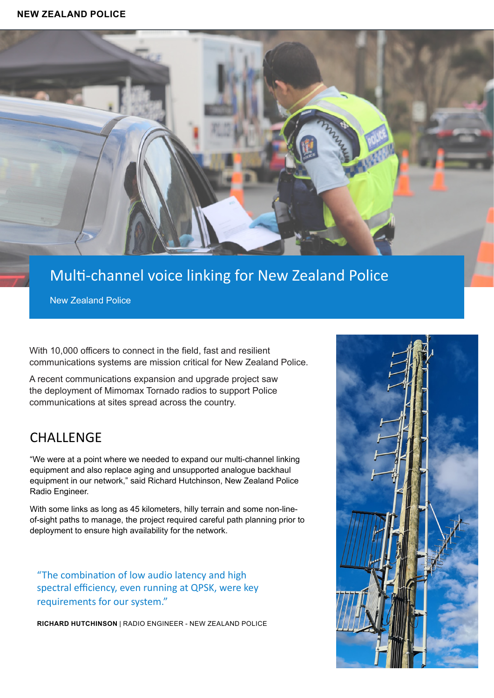### **NEW ZEALAND POLICE**



# Multi-channel voice linking for New Zealand Police

New Zealand Police

With 10,000 officers to connect in the field, fast and resilient communications systems are mission critical for New Zealand Police.

A recent communications expansion and upgrade project saw the deployment of Mimomax Tornado radios to support Police communications at sites spread across the country.

### **CHALLENGE**

"We were at a point where we needed to expand our multi-channel linking equipment and also replace aging and unsupported analogue backhaul equipment in our network," said Richard Hutchinson, New Zealand Police Radio Engineer.

With some links as long as 45 kilometers, hilly terrain and some non-lineof-sight paths to manage, the project required careful path planning prior to deployment to ensure high availability for the network.

"The combination of low audio latency and high spectral efficiency, even running at QPSK, were key requirements for our system."

**RICHARD HUTCHINSON** | RADIO ENGINEER - NEW ZEALAND POLICE